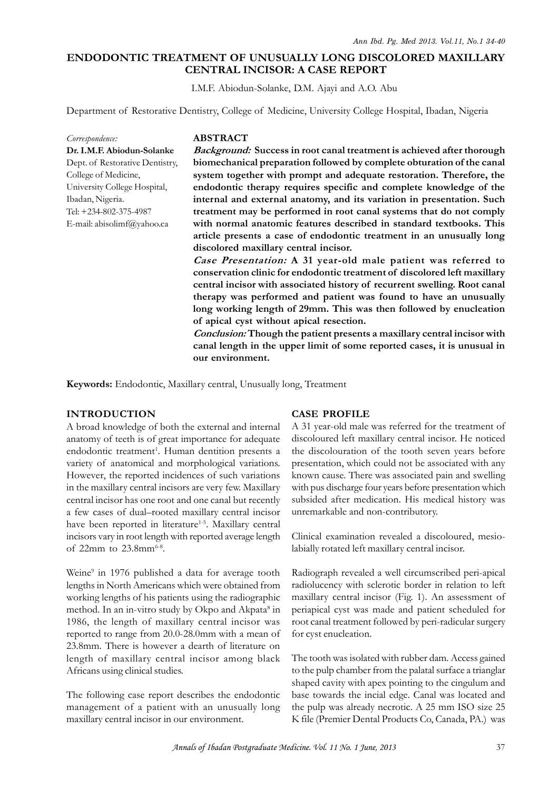# **ENDODONTIC TREATMENT OF UNUSUALLY LONG DISCOLORED MAXILLARY<br>CENTRAL INCISOR: A CASE REPORT**<br>I.M.F. Abiodun-Solanke, D.M. Ajayi and A.O. Abu<br>Department of Restorative Dentistry, College of Medicine, University College Hosp **CENTRAL INCISOR: A CASE REPORT**

I.M.F. Abiodun-Solanke, D.M. Ajayi and A.O. Abu

*Correspondence:* **Dr. I.M.F. Abiodun-Solanke** College of Medicine, University College Hospital, Ibadan, Nigeria. Tel: +234-802-375-4987 E-mail: abisolimf@yahoo.ca

## **ABSTRACT**

Department of Restorative Dentistry, College of Medicine, University College Hospital, Ibadan, Nigeria<br>
Correspondence:<br> **ABSTRACT**<br> **Dr. I.M.F. Abiodun-Solanke** Background: Success in root canal treatment is achieved afte *Background:* **Success in root canal treatment is achieved after thorough biomechanical preparation followed by complete obturation of the canal system together with prompt and adequate restoration. Therefore, the endodontic therapy requires specific and complete knowledge of the internal and external anatomy, and its variation in presentation. Such treatment may be performed in root canal systems that do not comply with normal anatomic features described in standard textbooks. This article presents a case of endodontic treatment in an unusually long discolored maxillary central incisor.**

*Case Presentation:* **A 31 year-old male patient was referred to conservation clinic formation** in the calitary systems that to not comply<br>with normal anatomic features described in standard textbooks. This<br>article presents a case of endodontic treatment in an unusually long<br>discolored with hormal anatomic reatures described in standard textbooks. This<br>article presents a case of endodontic treatment in an unusually long<br>discolored maxillary central incisor.<br>Case Presentation: A 31 year-old male patient w **therapy was performed and patient was found to have an unusually long working length of 29mm. This was then followed by enucleation of apical cyst without apical resection.**

*Conclusion:* **Though the patient presents a maxillary central incisor with canal length in the upper limit of some reported cases, it is unusual in our environment.**

**Keywords:** Endodontic, Maxillary central, Unusually long, Treatment

### **INTRODUCTION**

A broad knowledge of both the external and internal anatomy of teeth is of great importance for adequate endodontic treatment<sup>1</sup>. Human dentition presents a the or INTRODUCTION<br>
A broad knowledge of both the external and internal<br>
anatomy of teeth is of great importance for adequate<br>
endodontic treatment<sup>1</sup>. Human dentition presents a<br>
variety of anatomical and morphological variatio However, the reported incidences of such variations in the maxillary central incisors are very few. Maxillary central incisor has one root and one canal but recently a few cases of dual–rooted maxillary central incisor have been reported in literature<sup>1-5</sup>. Maxillary central incisors vary in root length with reported average length of 22mm to  $23.8$ mm $^{6-8}$ .

Weine<sup>9</sup> in 1976 published a data for average tooth Radiog lengths in North Americans which were obtained from working lengths of his patients using the radiographic method. In an in-vitro study by Okpo and Akpata<sup>8</sup> in 1986, the length of maxillary central incisor was reported to range from 20.0-28.0mm with a mean of 23.8mm. There is however a dearth of literature on length of maxillary central incisor among black Africans using clinical studies.

The following case report describes the endodontic management of a patient with an unusually long maxillary central incisor in our environment.

### **CASE PROFILE**

A 31 year-old male was referred for the treatment of discoloured left maxillary central incisor. He noticed the discolouration of the tooth seven years before presentation, which could not be associated with any known cause. There was associated pain and swelling with pus discharge four years before presentation which subsided after medication. His medical history was unremarkable and non-contributory.

Clinical examination revealed a discoloured, mesiolabially rotated left maxillary central incisor.

 in periapical cyst was made and patient scheduled for Radiograph revealed a well circumscribed peri-apical radiolucency with sclerotic border in relation to left maxillary central incisor (Fig. 1). An assessment of root canal treatment followed by peri-radicular surgery for cyst enucleation.

The tooth was isolated with rubber dam. Access gained to the pulp chamber from the palatal surface a trianglar shaped cavity with apex pointing to the cingulum and base towards the incial edge. Canal was located and the pulp was already necrotic. A 25 mm ISO size 25 K file (Premier Dental Products Co, Canada, PA.) was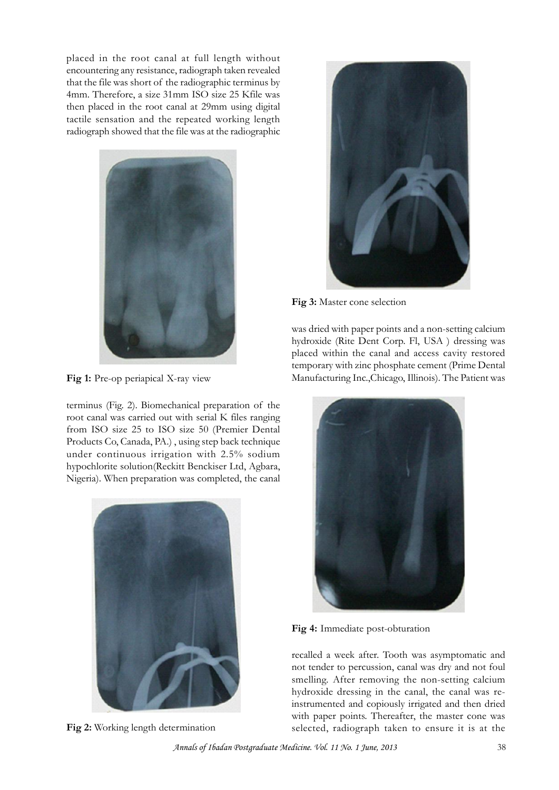placed in the root canal at full length without encountering any resistance, radiograph taken revealed placed in the root canal at full length without<br>encountering any resistance, radiograph taken revealed<br>that the file was short of the radiographic terminus by<br>4mm. Therefore, a size 31mm ISO size 25 Kfile was 4mm. Therefore, a size 31mm ISO size 25 Kfile was then placed in the root canal at 29mm using digital tactile sensation and the repeated working length radiograph showed that the file was at the radiographic



**Fig 1:** Pre-op periapical X-ray view

terminus (Fig. 2). Biomechanical preparation of the<br>terminus (Fig. 2). Biomechanical preparation of the<br>root canal was carried out with serial K files ranging<br> $\frac{1}{2}$ root canal was carried out with serial K files ranging from ISO size 25 to ISO size 50 (Premier Dental Products Co, Canada, PA.) , using step back technique under continuous irrigation with 2.5% sodium hypochlorite solution(Reckitt Benckiser Ltd, Agbara, Nigeria). When preparation was completed, the canal



**Fig 2:** Working length determination



**Fig 3:** Master cone selection

was dried with paper points and a non-setting calcium hydroxide (Rite Dent Corp. Fl, USA ) dressing was placed within the canal and access cavity restored temporary with zinc phosphate cement (Prime Dental Manufacturing Inc.,Chicago, Illinois). The Patient was



**Fig 4:** Immediate post-obturation

recalled a week after. Tooth was asymptomatic and not tender to percussion, canal was dry and not foul smelling. After removing the non-setting calcium hydroxide dressing in the canal, the canal was reinstrumented and copiously irrigated and then dried with paper points. Thereafter, the master cone was selected, radiograph taken to ensure it is at the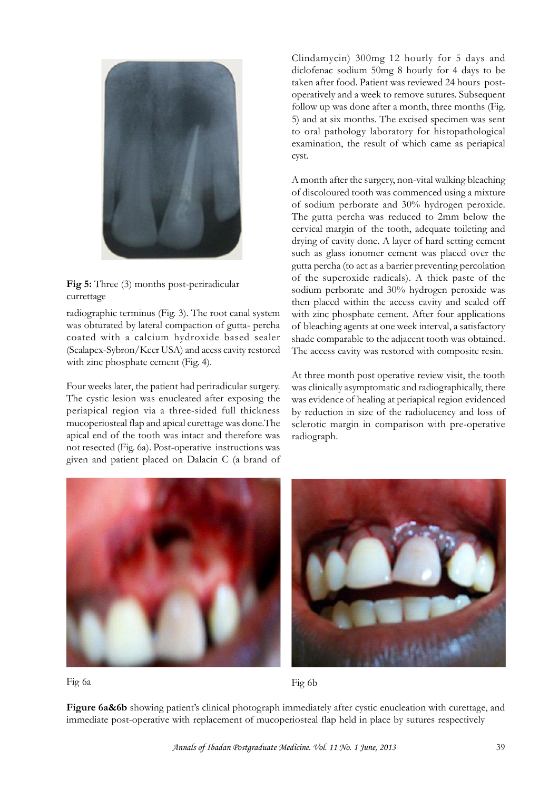

**Fig 5:** Three (3) months post-periradicular currettage

radiographic terminus (Fig. 3). The root canal system was obturated by lateral compaction of gutta- percha of bleaching agents at one week interval, a satisfactory coated with a calcium hydroxide based sealer (Sealapex-Sybron/Keer USA) and acess cavity restored with zinc phosphate cement (Fig. 4).

Four weeks later, the patient had periradicular surgery. The cystic lesion was enucleated after exposing the periapical region via a three-sided full thickness mucoperiosteal flap and apical curettage was done.The apical end of the tooth was intact and therefore was not resected (Fig. 6a). Post-operative instructions was given and patient placed on Dalacin C (a brand of

Clindamycin) 300mg 12 hourly for 5 days and diclofenac sodium 50mg 8 hourly for 4 days to be taken after food. Patient was reviewed 24 hours postoperatively and a week to remove sutures. Subsequent follow up was done after a month, three months (Fig. 5) and at six months. The excised specimen was sent to oral pathology laboratory for histopathological examination, the result of which came as periapical cyst.

A month after the surgery, non-vital walking bleaching of discoloured tooth was commenced using a mixture of sodium perborate and 30% hydrogen peroxide. The gutta percha was reduced to 2mm below the A month after the surgery, non-vital walking bleaching<br>of discoloured tooth was commenced using a mixture<br>of sodium perborate and  $30\%$  hydrogen peroxide.<br>The gutta percha was reduced to  $2 \text{mm}$  below the<br>cervical margi drying of cavity done. A layer of hard setting cement such as glass ionomer cement was placed over the gutta percha (to act as a barrier preventing percolation of the superoxide radicals). A thick paste of the sodium perborate and 30% hydrogen peroxide was then placed within the access cavity and sealed off with zinc phosphate cement. After four applications gutta percha (to act as a barrier preventing percolation<br>of the superoxide radicals). A thick paste of the<br>sodium perborate and 30% hydrogen peroxide was<br>then placed within the access cavity and sealed off<br>with zinc phosph shade comparable to the adjacent tooth was obtained. The access cavity was restored with composite resin.

At three month post operative review visit, the tooth was clinically asymptomatic and radiographically, there was evidence of healing at periapical region evidenced by reduction in size of the radiolucency and loss of sclerotic margin in comparison with pre-operative radiograph.



Fig 6a Fig 6b

**Figure 6a&6b** showing patient's clinical photograph immediately after cystic enucleation with curettage, and immediate post-operative with replacement of mucoperiosteal flap held in place by sutures respectively